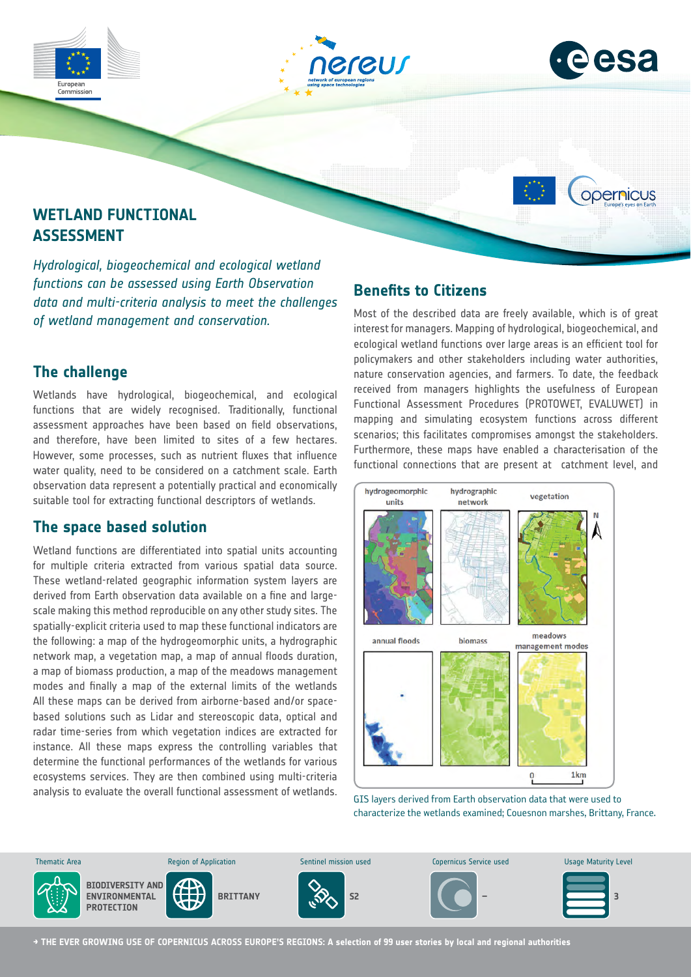





opernicus

# **WETLAND FUNCTIONAL ASSESSMENT**

*Hydrological, biogeochemical and ecological wetland functions can be assessed using Earth Observation data and multi-criteria analysis to meet the challenges of wetland management and conservation.*

## **The challenge**

Wetlands have hydrological, biogeochemical, and ecological functions that are widely recognised. Traditionally, functional assessment approaches have been based on field observations, and therefore, have been limited to sites of a few hectares. However, some processes, such as nutrient fluxes that influence water quality, need to be considered on a catchment scale. Earth observation data represent a potentially practical and economically suitable tool for extracting functional descriptors of wetlands.

### **The space based solution**

Wetland functions are differentiated into spatial units accounting for multiple criteria extracted from various spatial data source. These wetland-related geographic information system layers are derived from Earth observation data available on a fine and largescale making this method reproducible on any other study sites. The spatially-explicit criteria used to map these functional indicators are the following: a map of the hydrogeomorphic units, a hydrographic network map, a vegetation map, a map of annual floods duration, a map of biomass production, a map of the meadows management modes and finally a map of the external limits of the wetlands All these maps can be derived from airborne-based and/or spacebased solutions such as Lidar and stereoscopic data, optical and radar time-series from which vegetation indices are extracted for instance. All these maps express the controlling variables that determine the functional performances of the wetlands for various ecosystems services. They are then combined using multi-criteria analysis to evaluate the overall functional assessment of wetlands.

## **Benefits to Citizens**

Most of the described data are freely available, which is of great interest for managers. Mapping of hydrological, biogeochemical, and ecological wetland functions over large areas is an efficient tool for policymakers and other stakeholders including water authorities, nature conservation agencies, and farmers. To date, the feedback received from managers highlights the usefulness of European Functional Assessment Procedures (PROTOWET, EVALUWET) in mapping and simulating ecosystem functions across different scenarios; this facilitates compromises amongst the stakeholders. Furthermore, these maps have enabled a characterisation of the functional connections that are present at catchment level, and



GIS layers derived from Earth observation data that were used to characterize the wetlands examined; Couesnon marshes, Brittany, France.



**→ THE EVER GROWING USE OF COPERNICUS ACROSS EUROPE'S REGIONS: A selection of 99 user stories by local and regional authorities**